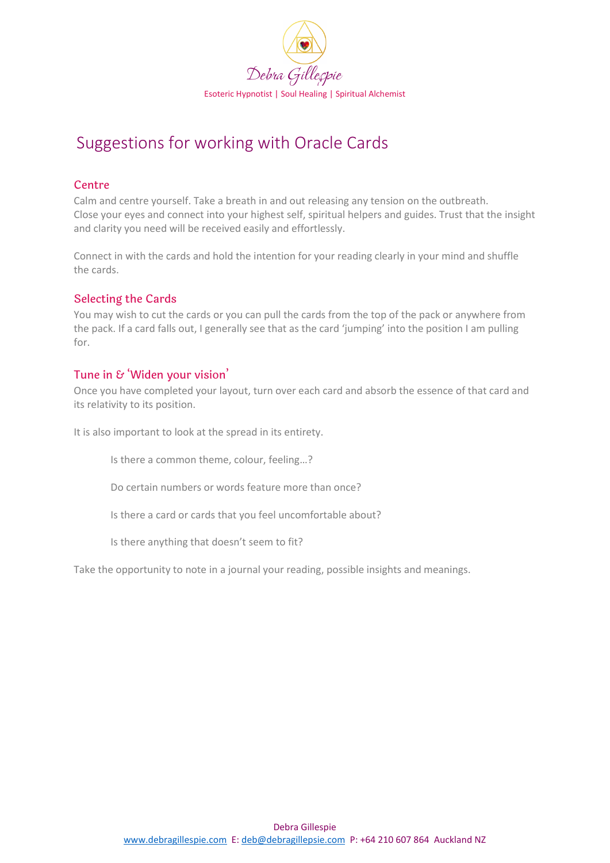

## Suggestions for working with Oracle Cards

#### **Centre**

Calm and centre yourself. Take a breath in and out releasing any tension on the outbreath. Close your eyes and connect into your highest self, spiritual helpers and guides. Trust that the insight and clarity you need will be received easily and effortlessly.

Connect in with the cards and hold the intention for your reading clearly in your mind and shuffle the cards.

#### Selecting the Cards

You may wish to cut the cards or you can pull the cards from the top of the pack or anywhere from the pack. If a card falls out, I generally see that as the card 'jumping' into the position I am pulling for.

#### Tune in & 'Widen your vision'

Once you have completed your layout, turn over each card and absorb the essence of that card and its relativity to its position.

It is also important to look at the spread in its entirety.

Is there a common theme, colour, feeling…?

Do certain numbers or words feature more than once?

Is there a card or cards that you feel uncomfortable about?

Is there anything that doesn't seem to fit?

Take the opportunity to note in a journal your reading, possible insights and meanings.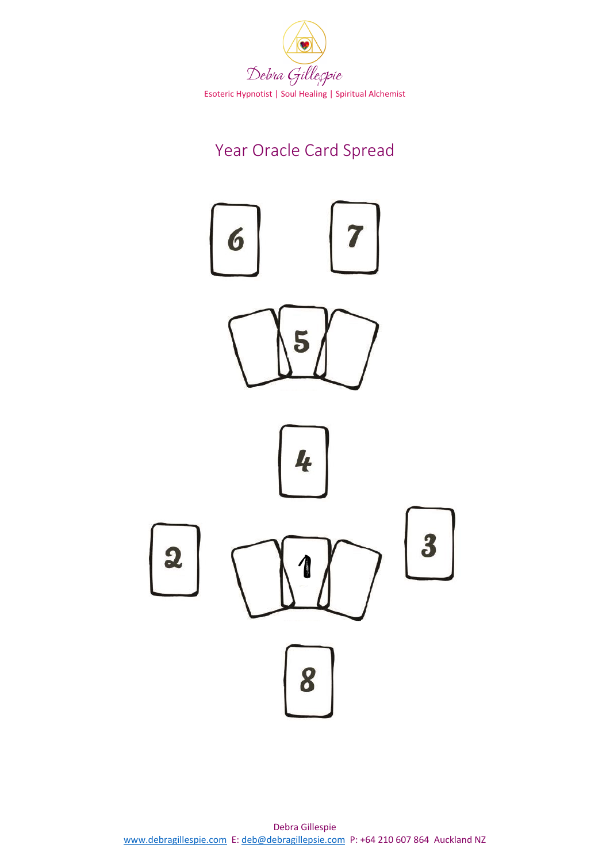

# Year Oracle Card Spread

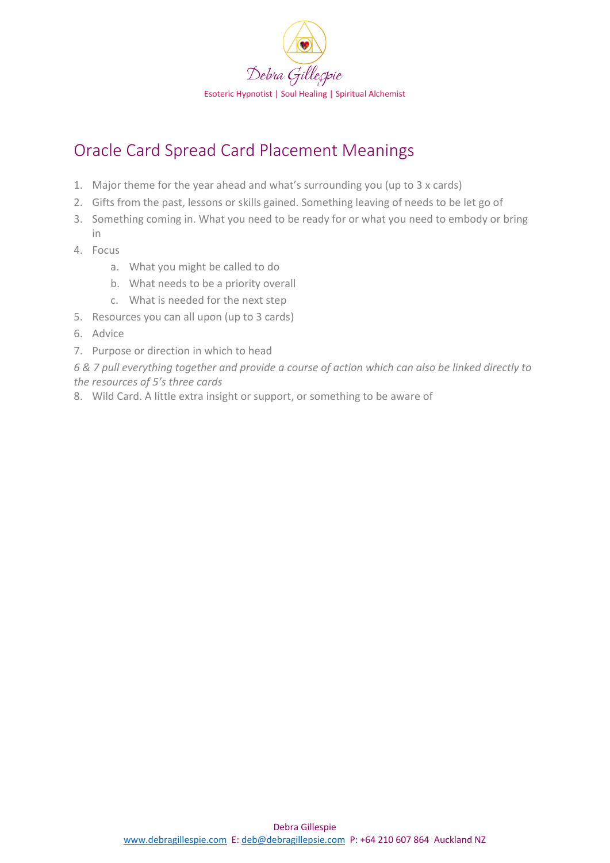

## Oracle Card Spread Card Placement Meanings

- 1. Major theme for the year ahead and what's surrounding you (up to 3 x cards)
- 2. Gifts from the past, lessons or skills gained. Something leaving of needs to be let go of
- 3. Something coming in. What you need to be ready for or what you need to embody or bring in
- 4. Focus
	- a. What you might be called to do
	- b. What needs to be a priority overall
	- c. What is needed for the next step
- 5. Resources you can all upon (up to 3 cards)
- 6. Advice
- 7. Purpose or direction in which to head

*6 & 7 pull everything together and provide a course of action which can also be linked directly to the resources of 5's three cards* 

8. Wild Card. A little extra insight or support, or something to be aware of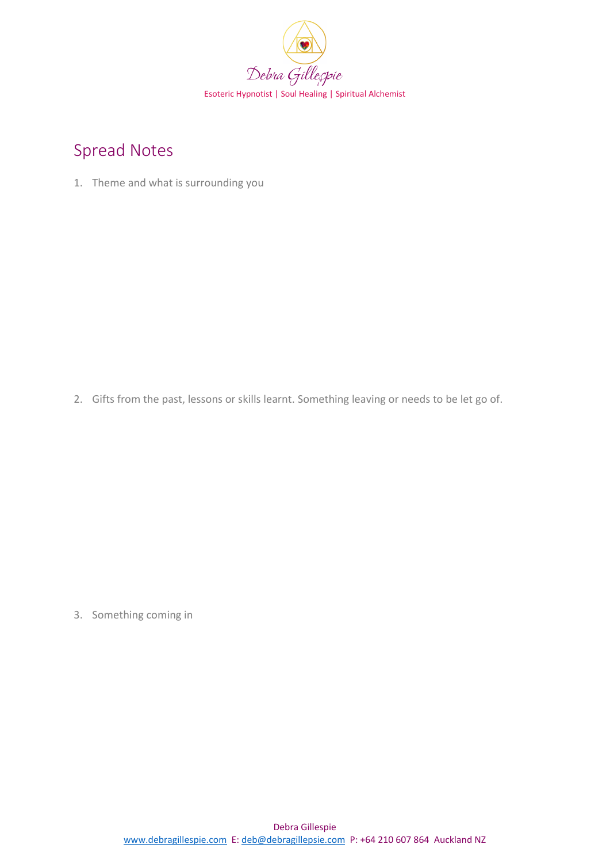

## Spread Notes

1. Theme and what is surrounding you

2. Gifts from the past, lessons or skills learnt. Something leaving or needs to be let go of.

3. Something coming in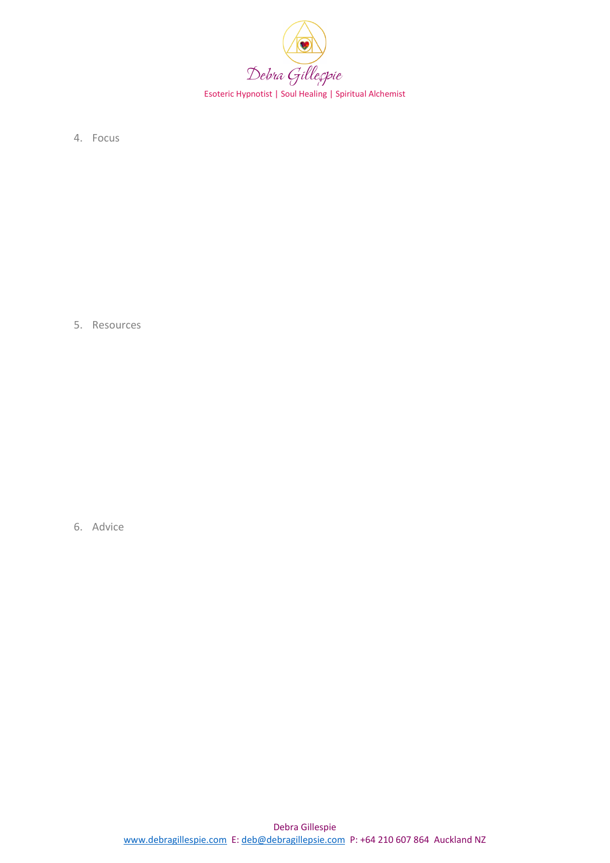

4. Focus

5. Resources

6. Advice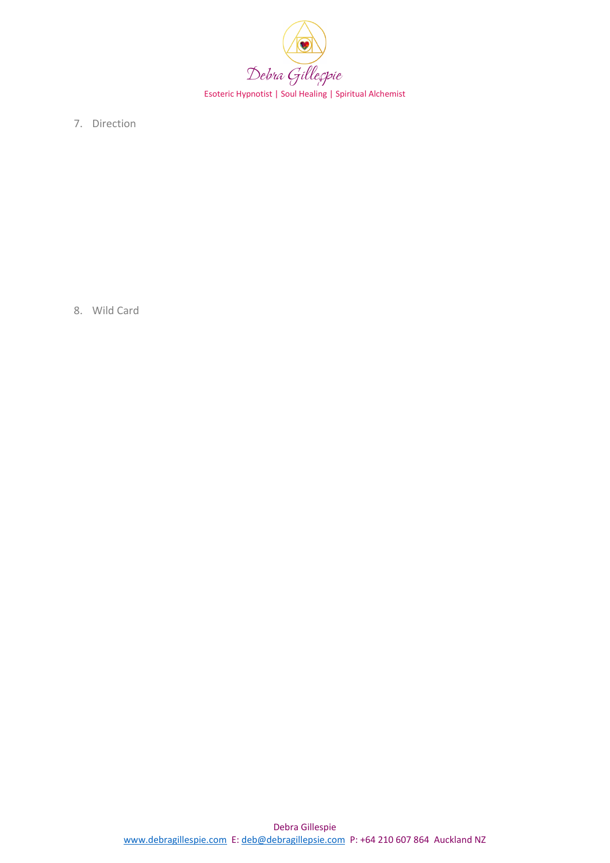

7. Direction

8. Wild Card